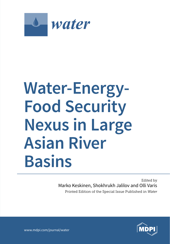

# **Water-Energy-Food Security Nexus in Large Asian River Basins**

Marko Keskinen, Shokhrukh Jalilov and Olli Varis Edited by Printed Edition of the Special Issue Published in *Water*



www.mdpi.com/journal/water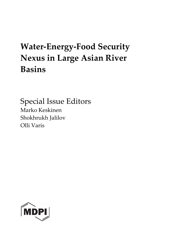## **Water-Energy-Food Security Nexus in Large Asian River Basins**

Special Issue Editors Marko Keskinen Shokhrukh Jalilov Olli Varis

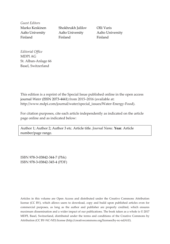*Guest Editors*

Marko Keskinen Shokhrukh Jalilov Olli Varis Aalto University Aalto University Aalto University Finland Finland Finland Finland

*Editorial Office* MDPI AG St. Alban-Anlage 66 Basel, Switzerland

This edition is a reprint of the Special Issue published online in the open access journal *[Water](http://www.mdpi.com/journal/water)* (ISSN 2073-4441) from 2015–2016 (available at: http://www.mdpi.com/journal/water/special\_issues/Water-Energy-Food).

For citation purposes, cite each article independently as indicated on the article page online and as indicated below:

Author 1; Author 2; Author 3 etc. Article title. *Journal Name*. **Year**. Article number/page range.

ISBN 978-3-03842-344-7 (Pbk) ISBN 978-3-03842-345-4 (PDF)

Articles in this volume are Open Access and distributed under the Creative Commons Attribution license (CC BY), which allows users to download, copy and build upon published articles even for commercial purposes, as long as the author and publisher are properly credited, which ensures maximum dissemination and a wider impact of our publications. The book taken as a whole is © 2017 MDPI, Basel, Switzerland, distributed under the terms and conditions of the Creative Commons by Attribution (CC BY-NC-ND) license [\(http://creativecommons.org/licenses/by-nc-nd/4.0/\)](http://creativecommons.org/licenses/by-nc-nd/4.0/).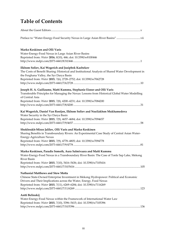### **Table of Contents**

| Preface to "Water-Energy-Food Security Nexus in Large Asian River Basins" …………………………….vii                                                                                                                                                                                                                                                                       |
|-----------------------------------------------------------------------------------------------------------------------------------------------------------------------------------------------------------------------------------------------------------------------------------------------------------------------------------------------------------------|
| Marko Keskinen and Olli Varis<br>Water-Energy-Food Nexus in Large Asian River Basins<br>Reprinted from: Water 2016, 8(10), 446; doi: 10.3390/w8100446                                                                                                                                                                                                           |
| Ilkhom Soliev, Kai Wegerich and Jusipbek Kazbekov<br>The Costs of Benefit Sharing: Historical and Institutional Analysis of Shared Water Development in<br>the Ferghana Valley, the Syr Darya Basin<br>Reprinted from: Water 2015, 7(6), 2728-2752; doi: 10.3390/w7062728                                                                                       |
| Joseph H. A. Guillaume, Matti Kummu, Stephanie Eisner and Olli Varis<br>Transferable Principles for Managing the Nexus: Lessons from Historical Global Water Modelling<br>of Central Asia<br>Reprinted from: Water 2015, 7(8), 4200–4231; doi: 10.3390/w7084200                                                                                                 |
| Kai Wegerich, Daniel Van Rooijen, Ilkhom Soliev and Nozilakhon Mukhamedova<br>Water Security in the Syr Darya Basin<br>Reprinted from: Water 2015, 7(9), 4657-4684; doi: 10.3390/w7094657                                                                                                                                                                       |
| Shokhrukh-Mirzo Jalilov, Olli Varis and Marko Keskinen<br>Sharing Benefits in Transboundary Rivers: An Experimental Case Study of Central Asian Water-<br>Energy-Agriculture Nexus<br>Reprinted from: Water 2015, 7(9), 4778-4805; doi: 10.3390/w7094778                                                                                                        |
| Marko Keskinen, Paradis Someth, Aura Salmivaara and Matti Kummu<br>Water-Energy-Food Nexus in a Transboundary River Basin: The Case of Tonle Sap Lake, Mekong<br><b>River Basin</b><br>Reprinted from: Water 2015, 7(10), 5416–5436; doi: 10.3390/w7105416                                                                                                      |
| <b>Nathanial Matthews and Stew Motta</b><br>Chinese State-Owned Enterprise Investment in Mekong Hydropower: Political and Economic<br>Drivers and Their Implications across the Water, Energy, Food Nexus<br>Reprinted from: Water 2015, 7(11), 6269–6284; doi: 10.3390/w7116269<br>http://www.mdpi.com/2073-4441/7/11/6269 ……………………………………………………………………………………123 |
| Antti Belinskij<br>Water-Energy-Food Nexus within the Framework of International Water Law<br>Reprinted from: <i>Water 2015, 7</i> (10), 5396–5415; doi: 10.3390/w7105396                                                                                                                                                                                       |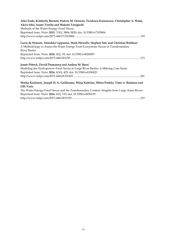| Aiko Endo, Kimberly Burnett, Pedcris M. Orencio, Terukazu Kumazawa, Christopher A. Wada,<br>Akira Ishii, Izumi Tsurita and Makoto Taniguchi<br>Methods of the Water-Energy-Food Nexus<br>Reprinted from: Water 2015, 7(10), 5806-5830; doi: 10.3390/w7105806 |
|--------------------------------------------------------------------------------------------------------------------------------------------------------------------------------------------------------------------------------------------------------------|
| Lucia de Strasser, Annukka Lipponen, Mark Howells, Stephen Stec and Christian Bréthaut                                                                                                                                                                       |
| A Methodology to Assess the Water Energy Food Ecosystems Nexus in Transboundary                                                                                                                                                                              |
| <b>River Basins</b>                                                                                                                                                                                                                                          |
| Reprinted from: Water 2016, 8(2), 59; doi: 10.3390/w8020059                                                                                                                                                                                                  |
|                                                                                                                                                                                                                                                              |
| Jamie Pittock, David Dumaresq and Andrea M. Bassi                                                                                                                                                                                                            |
| Modeling the Hydropower–Food Nexus in Large River Basins: A Mekong Case Study                                                                                                                                                                                |
| Reprinted from: Water 2016, 8(10), 425; doi: 10.3390/w8100425                                                                                                                                                                                                |
|                                                                                                                                                                                                                                                              |
| Marko Keskinen, Joseph H. A. Guillaume, Mirja Kattelus, Miina Porkka, Timo A. Räsänen and<br>Olli Varis                                                                                                                                                      |
| The Water-Energy-Food Nexus and the Transboundary Context: Insights from Large Asian Rivers<br>Reprinted from: Water 2016, 8(5), 193; doi: 10.3390/w8050193                                                                                                  |
|                                                                                                                                                                                                                                                              |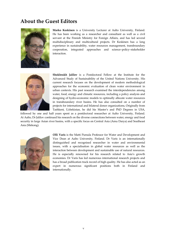#### **About the Guest Editors**



**Marko Keskinen** is a University Lecturer at Aalto University, Finland. He has been working as a researcher and consultant as well as a civil servant at the Finnish Ministry for Foreign Affairs, and has led several multidisciplinary and multicultural projects. Dr Keskinen has a long experience in sustainability, water resources management, transboundary cooperation, integrated approaches and science–policy–stakeholder interaction.



**Shokhrukh Jalilov** is a Postdoctoral Fellow at the Institute for the Advanced Study of Sustainability of the United Nations University. His current research focuses on the development of modern methodological approaches for the economic evaluation of clean water environment in urban contexts. His past research examined the interdependencies among water, food, energy and climatic resources, including a policy analysis and designing of hydro-economic models to optimally allocate water resources in transboundary river basins. He has also consulted on a number of projects for international and bilateral donor organizations**.** Originally from Tashkent, Uzbekistan, he did his Master's and PhD Degrees in USA,

followed by one and half years spent as a postdoctoral researcher at Aalto University, Finland. At Aalto, Dr Jalilov continued his research on the diverse connections between water, energy and food security in large Asian river basins, with a specific focus on Central Asia (Amu Darya) and Southeast Asia (Mekong).



**Olli Varis** is the Matti Pursula Professor for Water and Development and Vice Dean at Aalto University, Finland. Dr Varis is an internationally distinguished and recognised researcher in water and environmental issues, with a specialisation in global water resources as well as the interaction between development and sustainable use of natural resources. He is especially renowned for his research related to Asia's growth economies. Dr Varis has led numerous international research projects and has a broad publication track record of high quality. He has also acted as an expert in numerous significant positions both in Finland and internationally.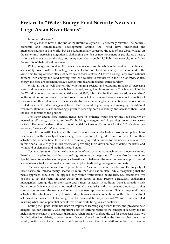#### **Preface to "Water-Energy-Food Security Nexus in Large Asian River Basins"**

#### Is our world secure?

This question is now, at the end of the tumultuous year 2016, extremely relevant. The political, economic and climate-related developments around the world have underlined the interconnectedness of our world, but also fundamentally contested the idea of one global village. At the same time, increasing migration is challenging the idea of free movement of people. As a result, nationalistic views are on the rise, and many countries strongly highlight their sovereignty and also the security of their critical resources.

Water, energy and food are the most critical resources of the whole of humankind. The three are also closely linked, with water acting as an enabler for both food and energy production and at the same time feeling adverse effects of activities in those sectors. All three also regularly cross national borders, with energy and food flowing from one country to another with the help of trade. Water, energy and food are present in today's world; thus all are, in essence, transboundary.

While all this is well known, the wide-ranging societal and economic impacts of increasing water and resource scarcity have only been properly recognized in recent years. This is exemplified by the World Economic Forum's Global Risks Report 2015, which for the first time placed "water crises" as the most important global risk in terms of impact. The increased awareness about scarcities of resources and their interconnectedness has also translated into heightened attention given to securityrelated aspects of water, energy and food. Hence, instead of just using and managing the different resources, attention is also increasingly given to securing both availability and access to them—and the related inequities and politics.

The water–energy–food security nexus aims to "enhance water, energy and food security by increasing efficiency, reducing trade-offs, building synergies and improving governance across sectors". That was the description in the influential Background Document for *Bonn2011 Conference on the Water, Energy and Food Security Nexus*.

Since the Bonn2011 Conference, the number of nexus-related activities, projects and publications has boomed, with a variety of actors using the nexus concept to guide, frame and reflect upon their activities. At the same time, there is still no commonly agreed definition for the nexus. Several articles in this Special Issue engage in this discussion, providing their views on how to define the nexus and what kind of elements and methods it could entail.

Yet, any discussion about the characteristics of a nexus as an approach remain theoretical unless linked to actual planning and decision-making processes on the ground. That was also the aim of our Special Issue: to see what kind of practical benefits and challenges the emerging nexus approach could accrue when actually examined, analyzed and applied in differing management contexts.

The geographical focus of our Special Issue is Asia and its large river basins. The majority of these basins are transboundary, shared by more than one nation state. While recognizing that the nexus approach should not be applied only within water-bound boundaries, i.e., catchments, we decided to set the focus on large Asian river basins as they present particularly challenging management settings due to their scale and variety of actors. In addition, there is already a rich literature on their water, energy and food-related characteristics and management processes, making comparison between the nexus and other management approaches easier. Finally, despite all these activities, the situation in many transboundary basins remains contentious, with different sectoral actors and nation states not able to agree on the most suitable ways forward. We were thus interested in seeing what kind of potential benefits this nexus could bring to such contexts.

Editing the Special Issue has been an important learning experience for us, and provided new insights (see our Editorial). One important point of learning relates to the concept of security and its inclusion or exclusion in the nexus discussion. When initially drafting the call for the Special Issue, we decided, after long debate, to leave the term "security" out from the title: the idea was that the articles would, in this way, focus more on the three sectors and their interrelations, rather than broader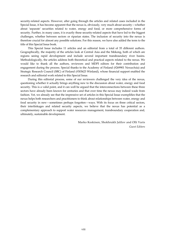security-related aspects. However, after going through the articles and related cases included in the Special Issue, it has become apparent that the nexus is, obviously, very much about security—whether about 'separate' securities related to water, energy and food, or more comprehensive forms of security. Further, in many cases, it is exactly these security-related aspects that have led to the biggest challenges, whether between sectors or riparian states. The inclusion of security into the nexus is therefore crucial for almost any possible solutions. For this reason, we have also added the term to the title of this Special Issue book.

This Special Issue includes 11 articles and an editorial from a total of 35 different authors. Geographically, the majority of the articles look at Central Asia and the Mekong, both of which are regions seeing rapid development and include several important transboundary river basins. Methodologically, the articles address both theoretical and practical aspects related to the nexus. We would like to thank all the authors, reviewers and MDPI editors for their contribution and engagement during the process. Special thanks to the Academy of Finland (#269901 NexusAsia) and Strategic Research Council (SRC) of Finland (#303623 Winland), whose financial support enabled the research and editorial work related to this Special Issue.

During this editorial process, some of our reviewers challenged the very idea of the nexus, questioning whether it actually brings anything new to the discussion about water, energy and food security. This is a valid point, and it can well be argued that the interconnections between these three sectors have already been known for centuries and that over time the nexus may indeed wade from fashion. Yet, we already see that the impressive set of articles in this Special Issue exemplifies that the nexus helps both researchers and practitioners to think about relationships between water, energy and food security in new—sometimes perhaps forgotten—ways. With its focus on three critical sectors, their interlinkages and related security aspects, we believe that the nexus has potential as a complementary approach to support water resources management, transboundary cooperation and, ultimately, sustainable development.

> Marko Keskinen, Shokhrukh Jalilov and Olli Varis *Guest Editors*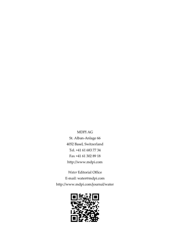MDPI AG St. Alban-Anlage 66 4052 Basel, Switzerland Tel. +41 61 683 77 34 Fax +41 61 302 89 18 http://www.mdpi.com

*[Water](http://www.mdpi.com/journal/water)* Editorial Office E-mail: [water@](http://www.mdpi.com/journal/water)mdpi.com http://www.mdpi.com/journal[/water](http://www.mdpi.com/journal/water)